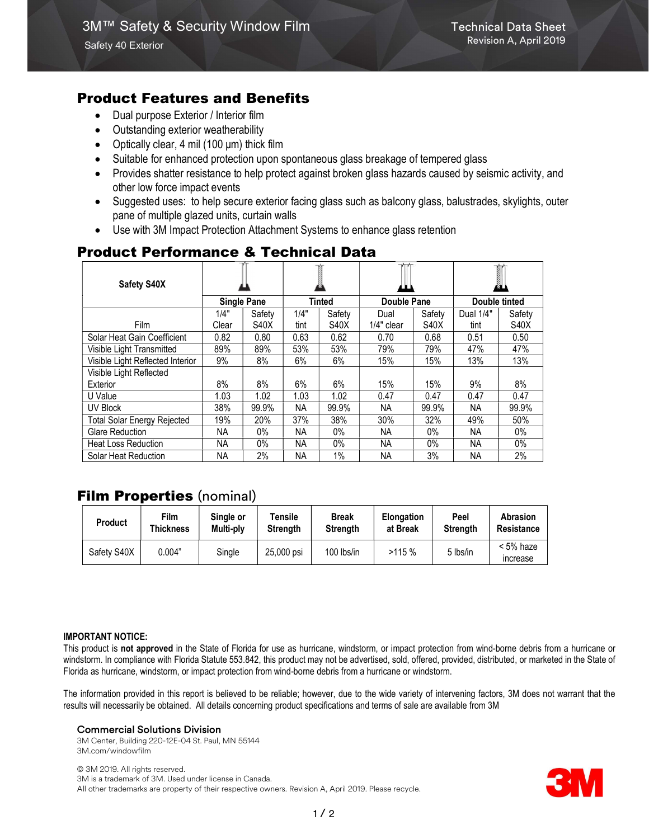# Product Features and Benefits

- Dual purpose Exterior / Interior film
- Outstanding exterior weatherability
- Optically clear, 4 mil (100  $\mu$ m) thick film
- Suitable for enhanced protection upon spontaneous glass breakage of tempered glass
- Provides shatter resistance to help protect against broken glass hazards caused by seismic activity, and other low force impact events
- Suggested uses: to help secure exterior facing glass such as balcony glass, balustrades, skylights, outer pane of multiple glazed units, curtain walls
- Use with 3M Impact Protection Attachment Systems to enhance glass retention

# Product Performance & Technical Data

| Safety S40X                        |                    |             |           |             |              |             | I             |             |
|------------------------------------|--------------------|-------------|-----------|-------------|--------------|-------------|---------------|-------------|
|                                    | <b>Single Pane</b> |             | Tinted    |             | Double Pane  |             | Double tinted |             |
|                                    | 1/4"               | Safety      | 1/4"      | Safety      | Dual         | Safety      | Dual 1/4"     | Safety      |
| <b>Film</b>                        | Clear              | <b>S40X</b> | tint      | <b>S40X</b> | $1/4"$ clear | <b>S40X</b> | tint          | <b>S40X</b> |
| Solar Heat Gain Coefficient        | 0.82               | 0.80        | 0.63      | 0.62        | 0.70         | 0.68        | 0.51          | 0.50        |
| Visible Light Transmitted          | 89%                | 89%         | 53%       | 53%         | 79%          | 79%         | 47%           | 47%         |
| Visible Light Reflected Interior   | 9%                 | 8%          | 6%        | 6%          | 15%          | 15%         | 13%           | 13%         |
| Visible Light Reflected            |                    |             |           |             |              |             |               |             |
| Exterior                           | 8%                 | 8%          | $6\%$     | 6%          | 15%          | 15%         | 9%            | 8%          |
| U Value                            | 1.03               | 1.02        | 1.03      | 1.02        | 0.47         | 0.47        | 0.47          | 0.47        |
| UV Block                           | 38%                | 99.9%       | NA.       | 99.9%       | NA.          | 99.9%       | NA.           | 99.9%       |
| <b>Total Solar Energy Rejected</b> | 19%                | 20%         | 37%       | 38%         | 30%          | 32%         | 49%           | 50%         |
| Glare Reduction                    | NА                 | $0\%$       | <b>NA</b> | $0\%$       | NA.          | $0\%$       | <b>NA</b>     | $0\%$       |
| <b>Heat Loss Reduction</b>         | ΝA                 | 0%          | NA.       | $0\%$       | NA.          | $0\%$       | NА            | 0%          |
| Solar Heat Reduction               | <b>NA</b>          | 2%          | <b>NA</b> | 1%          | <b>NA</b>    | 3%          | <b>NA</b>     | 2%          |

# Film Properties (nominal)

| <b>Product</b> | Film      | Single or | Tensile         | <b>Break</b>    | <b>Elongation</b> | Peel            | Abrasion                 |
|----------------|-----------|-----------|-----------------|-----------------|-------------------|-----------------|--------------------------|
|                | Thickness | Multi-ply | <b>Strenath</b> | <b>Strength</b> | at Break          | <b>Strength</b> | Resistance               |
| Safety S40X    | 0.004"    | Single    | 25.000 psi      | 100 lbs/in      | >115%             | 5 lbs/in        | $< 5\%$ haze<br>increase |

#### IMPORTANT NOTICE:

This product is not approved in the State of Florida for use as hurricane, windstorm, or impact protection from wind-borne debris from a hurricane or windstorm. In compliance with Florida Statute 553.842, this product may not be advertised, sold, offered, provided, distributed, or marketed in the State of Florida as hurricane, windstorm, or impact protection from wind-borne debris from a hurricane or windstorm.

The information provided in this report is believed to be reliable; however, due to the wide variety of intervening factors, 3M does not warrant that the results will necessarily be obtained. All details concerning product specifications and terms of sale are available from 3M

### Commercial Solutions Division

3M Center, Building 220-12E-04 St. Paul, MN 55144 3M.com/windowfilm

© 3M 2019. All rights reserved. 3M is a trademark of 3M. Used under license in Canada. All other trademarks are property of their respective owners. Revision A, April 2019. Please recycle.